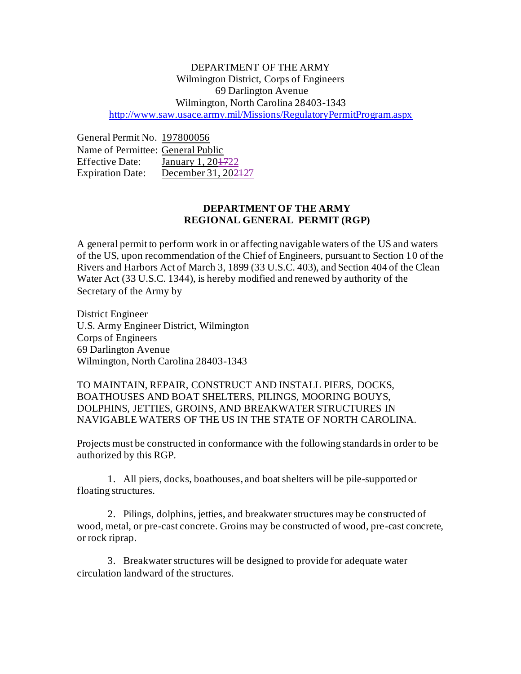## DEPARTMENT OF THE ARMY Wilmington District, Corps of Engineers 69 Darlington Avenue Wilmington, North Carolina 28403-1343 <http://www.saw.usace.army.mil/Missions/RegulatoryPermitProgram.aspx>

General Permit No. 197800056 Name of Permittee: General Public Effective Date: January 1, 20<del>17</del>22 Expiration Date: December 31, 2024-27

## **DEPARTMENT OF THE ARMY REGIONAL GENERAL PERMIT (RGP)**

A general permit to perform work in or affecting navigable waters of the US and waters of the US, upon recommendation of the Chief of Engineers, pursuant to Section 10 of the Rivers and Harbors Act of March 3, 1899 (33 U.S.C. 403), and Section 404 of the Clean Water Act (33 U.S.C. 1344), is hereby modified and renewed by authority of the Secretary of the Army by

District Engineer U.S. Army Engineer District, Wilmington Corps of Engineers 69 Darlington Avenue Wilmington, North Carolina 28403-1343

TO MAINTAIN, REPAIR, CONSTRUCT AND INSTALL PIERS, DOCKS, BOATHOUSES AND BOAT SHELTERS, PILINGS, MOORING BOUYS, DOLPHINS, JETTIES, GROINS, AND BREAKWATER STRUCTURES IN NAVIGABLE WATERS OF THE US IN THE STATE OF NORTH CAROLINA.

Projects must be constructed in conformance with the following standards in order to be authorized by this RGP.

1. All piers, docks, boathouses, and boat shelters will be pile-supported or floating structures.

2. Pilings, dolphins, jetties, and breakwater structures may be constructed of wood, metal, or pre-cast concrete. Groins may be constructed of wood, pre-cast concrete, or rock riprap.

3. Breakwater structures will be designed to provide for adequate water circulation landward of the structures.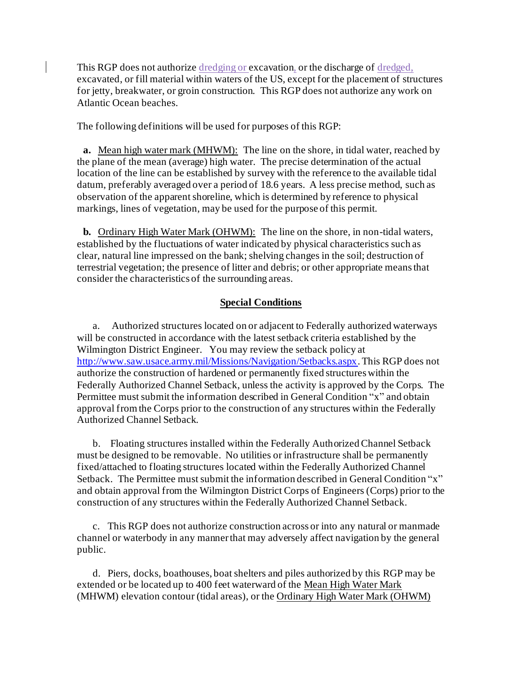This RGP does not authorize dredging or excavation, or the discharge of dredged, excavated, or fill material within waters of the US, except for the placement of structures for jetty, breakwater, or groin construction. This RGP does not authorize any work on Atlantic Ocean beaches.

The following definitions will be used for purposes of this RGP:

**a.** Mean high water mark (MHWM): The line on the shore, in tidal water, reached by the plane of the mean (average) high water. The precise determination of the actual location of the line can be established by survey with the reference to the available tidal datum, preferably averaged over a period of 18.6 years. A less precise method, such as observation of the apparent shoreline, which is determined by reference to physical markings, lines of vegetation, may be used for the purpose of this permit.

**b.** Ordinary High Water Mark (OHWM): The line on the shore, in non-tidal waters, established by the fluctuations of water indicated by physical characteristics such as clear, natural line impressed on the bank; shelving changes in the soil; destruction of terrestrial vegetation; the presence of litter and debris; or other appropriate means that consider the characteristics of the surrounding areas.

## **Special Conditions**

a. Authorized structures located on or adjacent to Federally authorized waterways will be constructed in accordance with the latest setback criteria established by the Wilmington District Engineer. You may review the setback policy at <http://www.saw.usace.army.mil/Missions/Navigation/Setbacks.aspx>.This RGP does not authorize the construction of hardened or permanently fixed structures within the Federally Authorized Channel Setback, unless the activity is approved by the Corps. The Permittee must submit the information described in General Condition "x" and obtain approval from the Corps prior to the construction of any structures within the Federally Authorized Channel Setback.

b. Floating structures installed within the Federally Authorized Channel Setback must be designed to be removable. No utilities or infrastructure shall be permanently fixed/attached to floating structures located within the Federally Authorized Channel Setback. The Permittee must submit the information described in General Condition "x" and obtain approval from the Wilmington District Corps of Engineers (Corps) prior to the construction of any structures within the Federally Authorized Channel Setback.

c. This RGP does not authorize construction across or into any natural or manmade channel or waterbody in any manner that may adversely affect navigation by the general public.

d. Piers, docks, boathouses, boat shelters and piles authorized by this RGP may be extended or be located up to 400 feet waterward of the Mean High Water Mark (MHWM) elevation contour (tidal areas), or the Ordinary High Water Mark (OHWM)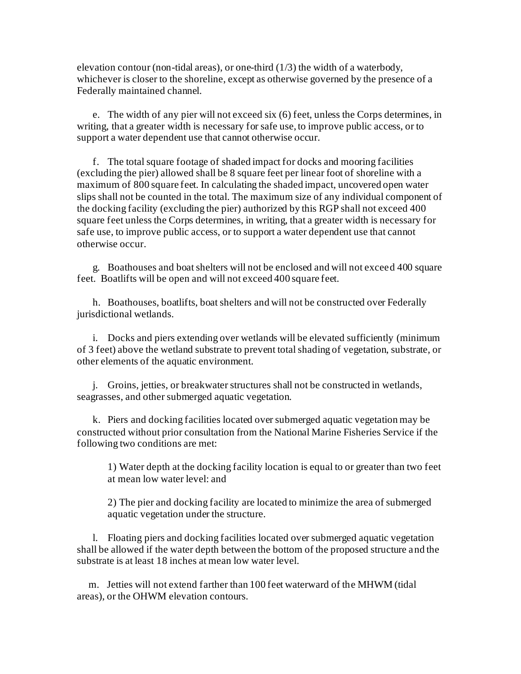elevation contour (non-tidal areas), or one-third (1/3) the width of a waterbody, whichever is closer to the shoreline, except as otherwise governed by the presence of a Federally maintained channel.

e. The width of any pier will not exceed six (6) feet, unless the Corps determines, in writing, that a greater width is necessary for safe use, to improve public access, or to support a water dependent use that cannot otherwise occur.

f. The total square footage of shaded impact for docks and mooring facilities (excluding the pier) allowed shall be 8 square feet per linear foot of shoreline with a maximum of 800 square feet. In calculating the shaded impact, uncovered open water slips shall not be counted in the total. The maximum size of any individual component of the docking facility (excluding the pier) authorized by this RGP shall not exceed 400 square feet unless the Corps determines, in writing, that a greater width is necessary for safe use, to improve public access, or to support a water dependent use that cannot otherwise occur.

g. Boathouses and boat shelters will not be enclosed and will not exceed 400 square feet. Boatlifts will be open and will not exceed 400 square feet.

h. Boathouses, boatlifts, boat shelters and will not be constructed over Federally jurisdictional wetlands.

i. Docks and piers extending over wetlands will be elevated sufficiently (minimum of 3 feet) above the wetland substrate to prevent total shading of vegetation, substrate, or other elements of the aquatic environment.

j. Groins, jetties, or breakwater structures shall not be constructed in wetlands, seagrasses, and other submerged aquatic vegetation.

k. Piers and docking facilities located over submerged aquatic vegetation may be constructed without prior consultation from the National Marine Fisheries Service if the following two conditions are met:

1) Water depth at the docking facility location is equal to or greater than two feet at mean low water level: and

2) The pier and docking facility are located to minimize the area of submerged aquatic vegetation under the structure.

l. Floating piers and docking facilities located over submerged aquatic vegetation shall be allowed if the water depth between the bottom of the proposed structure and the substrate is at least 18 inches at mean low water level.

m. Jetties will not extend farther than 100 feet waterward of the MHWM (tidal areas), or the OHWM elevation contours.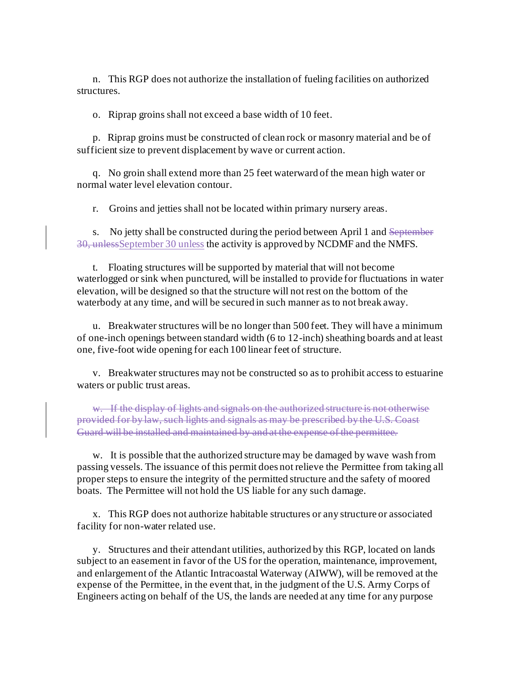n. This RGP does not authorize the installation of fueling facilities on authorized structures.

o. Riprap groins shall not exceed a base width of 10 feet.

p. Riprap groins must be constructed of clean rock or masonry material and be of sufficient size to prevent displacement by wave or current action.

q. No groin shall extend more than 25 feet waterward of the mean high water or normal water level elevation contour.

r. Groins and jetties shall not be located within primary nursery areas.

s. No jetty shall be constructed during the period between April 1 and September 30, unlessSeptember 30 unless the activity is approved by NCDMF and the NMFS.

t. Floating structures will be supported by material that will not become waterlogged or sink when punctured, will be installed to provide for fluctuations in water elevation, will be designed so that the structure will not rest on the bottom of the waterbody at any time, and will be secured in such manner as to not break away.

u. Breakwater structures will be no longer than 500 feet. They will have a minimum of one-inch openings between standard width (6 to 12-inch) sheathing boards and at least one, five-foot wide opening for each 100 linear feet of structure.

v. Breakwater structures may not be constructed so as to prohibit access to estuarine waters or public trust areas.

w. If the display of lights and signals on the authorized structure is not otherwise provided for by law, such lights and signals as may be prescribed by the U.S. Coast Guard will be installed and maintained by and at the expense of the permittee.

w. It is possible that the authorized structure may be damaged by wave wash from passing vessels. The issuance of this permit does not relieve the Permittee from taking all proper steps to ensure the integrity of the permitted structure and the safety of moored boats. The Permittee will not hold the US liable for any such damage.

x. This RGP does not authorize habitable structures or any structure or associated facility for non-water related use.

y. Structures and their attendant utilities, authorized by this RGP, located on lands subject to an easement in favor of the US for the operation, maintenance, improvement, and enlargement of the Atlantic Intracoastal Waterway (AIWW), will be removed at the expense of the Permittee, in the event that, in the judgment of the U.S. Army Corps of Engineers acting on behalf of the US, the lands are needed at any time for any purpose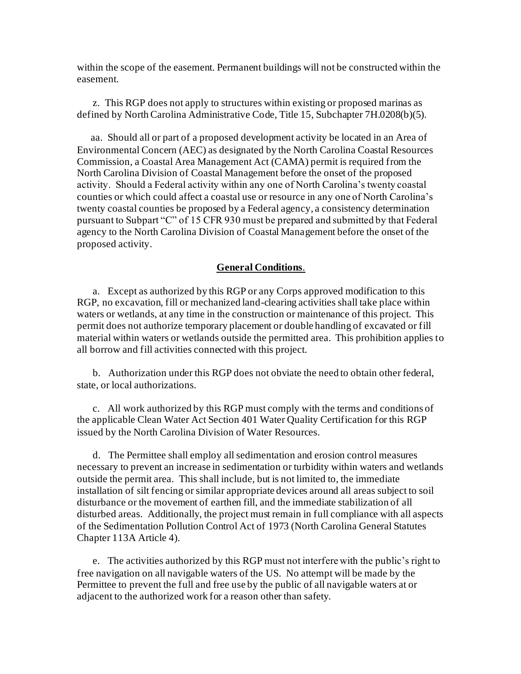within the scope of the easement. Permanent buildings will not be constructed within the easement.

z. This RGP does not apply to structures within existing or proposed marinas as defined by North Carolina Administrative Code, Title 15, Subchapter 7H.0208(b)(5).

 aa. Should all or part of a proposed development activity be located in an Area of Environmental Concern (AEC) as designated by the North Carolina Coastal Resources Commission, a Coastal Area Management Act (CAMA) permit is required from the North Carolina Division of Coastal Management before the onset of the proposed activity. Should a Federal activity within any one of North Carolina's twenty coastal counties or which could affect a coastal use or resource in any one of North Carolina's twenty coastal counties be proposed by a Federal agency, a consistency determination pursuant to Subpart "C" of 15 CFR 930 must be prepared and submitted by that Federal agency to the North Carolina Division of Coastal Management before the onset of the proposed activity.

## **General Conditions**.

a. Except as authorized by this RGP or any Corps approved modification to this RGP, no excavation, fill or mechanized land-clearing activities shall take place within waters or wetlands, at any time in the construction or maintenance of this project. This permit does not authorize temporary placement or double handling of excavated or fill material within waters or wetlands outside the permitted area. This prohibition applies to all borrow and fill activities connected with this project.

b. Authorization under this RGP does not obviate the need to obtain other federal, state, or local authorizations.

c. All work authorized by this RGP must comply with the terms and conditions of the applicable Clean Water Act Section 401 Water Quality Certification for this RGP issued by the North Carolina Division of Water Resources.

d. The Permittee shall employ all sedimentation and erosion control measures necessary to prevent an increase in sedimentation or turbidity within waters and wetlands outside the permit area. This shall include, but is not limited to, the immediate installation of silt fencing or similar appropriate devices around all areas subject to soil disturbance or the movement of earthen fill, and the immediate stabilization of all disturbed areas. Additionally, the project must remain in full compliance with all aspects of the Sedimentation Pollution Control Act of 1973 (North Carolina General Statutes Chapter 113A Article 4).

e. The activities authorized by this RGP must not interfere with the public's right to free navigation on all navigable waters of the US. No attempt will be made by the Permittee to prevent the full and free use by the public of all navigable waters at or adjacent to the authorized work for a reason other than safety.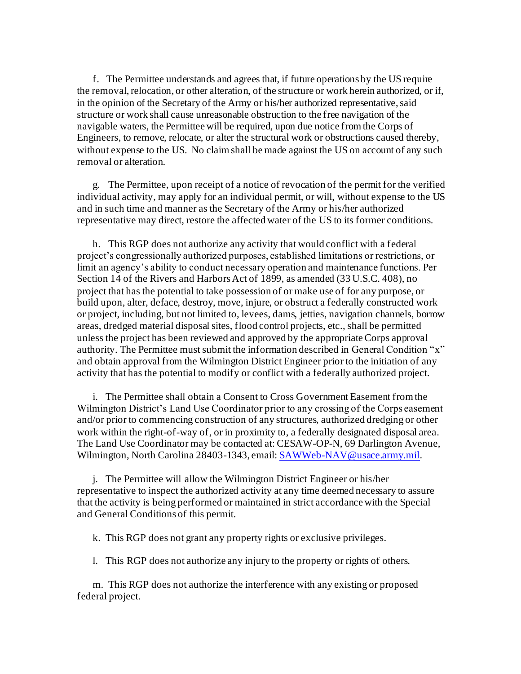f. The Permittee understands and agrees that, if future operations by the US require the removal, relocation, or other alteration, of the structure or work herein authorized, or if, in the opinion of the Secretary of the Army or his/her authorized representative, said structure or work shall cause unreasonable obstruction to the free navigation of the navigable waters, the Permittee will be required, upon due notice from the Corps of Engineers, to remove, relocate, or alter the structural work or obstructions caused thereby, without expense to the US. No claim shall be made against the US on account of any such removal or alteration.

g. The Permittee, upon receipt of a notice of revocation of the permit for the verified individual activity, may apply for an individual permit, or will, without expense to the US and in such time and manner as the Secretary of the Army or his/her authorized representative may direct, restore the affected water of the US to its former conditions.

h. This RGP does not authorize any activity that would conflict with a federal project's congressionally authorized purposes, established limitations or restrictions, or limit an agency's ability to conduct necessary operation and maintenance functions. Per Section 14 of the Rivers and Harbors Act of 1899, as amended (33 U.S.C. 408), no project that has the potential to take possession of or make use of for any purpose, or build upon, alter, deface, destroy, move, injure, or obstruct a federally constructed work or project, including, but not limited to, levees, dams, jetties, navigation channels, borrow areas, dredged material disposal sites, flood control projects, etc., shall be permitted unless the project has been reviewed and approved by the appropriate Corps approval authority. The Permittee must submit the information described in General Condition "x" and obtain approval from the Wilmington District Engineer prior to the initiation of any activity that has the potential to modify or conflict with a federally authorized project.

i. The Permittee shall obtain a Consent to Cross Government Easement from the Wilmington District's Land Use Coordinator prior to any crossing of the Corps easement and/or prior to commencing construction of any structures, authorized dredging or other work within the right-of-way of, or in proximity to, a federally designated disposal area. The Land Use Coordinator may be contacted at: CESAW-OP-N, 69 Darlington Avenue, Wilmington, North Carolina 28403-1343, email[: SAWWeb-NAV@usace.army.mil](mailto:SAWWeb-NAV@usace.army.mil).

j. The Permittee will allow the Wilmington District Engineer or his/her representative to inspect the authorized activity at any time deemed necessary to assure that the activity is being performed or maintained in strict accordance with the Special and General Conditions of this permit.

k. This RGP does not grant any property rights or exclusive privileges.

l. This RGP does not authorize any injury to the property or rights of others.

m. This RGP does not authorize the interference with any existing or proposed federal project.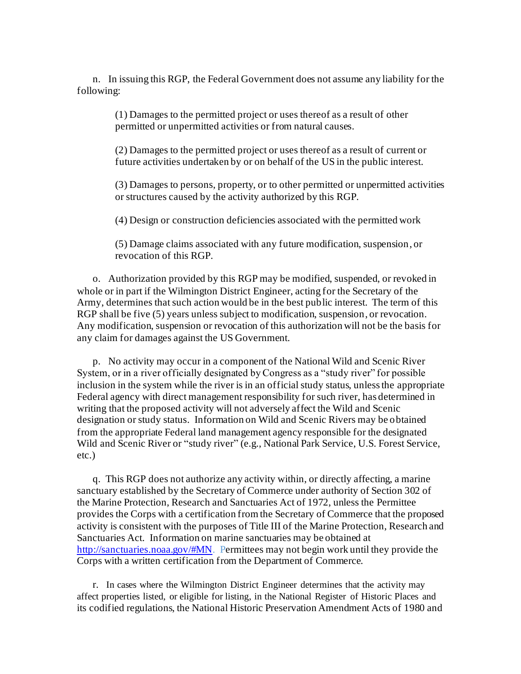n. In issuing this RGP, the Federal Government does not assume any liability for the following:

> (1) Damages to the permitted project or uses thereof as a result of other permitted or unpermitted activities or from natural causes.

(2) Damages to the permitted project or uses thereof as a result of current or future activities undertaken by or on behalf of the US in the public interest.

(3) Damages to persons, property, or to other permitted or unpermitted activities or structures caused by the activity authorized by this RGP.

(4) Design or construction deficiencies associated with the permitted work

(5) Damage claims associated with any future modification, suspension, or revocation of this RGP.

o. Authorization provided by this RGP may be modified, suspended, or revoked in whole or in part if the Wilmington District Engineer, acting for the Secretary of the Army, determines that such action would be in the best public interest. The term of this RGP shall be five (5) years unless subject to modification, suspension, or revocation. Any modification, suspension or revocation of this authorization will not be the basis for any claim for damages against the US Government.

p. No activity may occur in a component of the National Wild and Scenic River System, or in a river officially designated by Congress as a "study river" for possible inclusion in the system while the river is in an official study status, unless the appropriate Federal agency with direct management responsibility for such river, has determined in writing that the proposed activity will not adversely affect the Wild and Scenic designation or study status. Information on Wild and Scenic Rivers may be obtained from the appropriate Federal land management agency responsible for the designated Wild and Scenic River or "study river" (e.g., National Park Service, U.S. Forest Service, etc.)

q. This RGP does not authorize any activity within, or directly affecting, a marine sanctuary established by the Secretary of Commerce under authority of Section 302 of the Marine Protection, Research and Sanctuaries Act of 1972, unless the Permittee provides the Corps with a certification from the Secretary of Commerce that the proposed activity is consistent with the purposes of Title III of the Marine Protection, Research and Sanctuaries Act. Information on marine sanctuaries may be obtained at [http://sanctuaries.noaa.gov/#MN.](http://sanctuaries.noaa.gov/#MN) Permittees may not begin work until they provide the Corps with a written certification from the Department of Commerce.

r. In cases where the Wilmington District Engineer determines that the activity may affect properties listed, or eligible for listing, in the National Register of Historic Places and its codified regulations, the National Historic Preservation Amendment Acts of 1980 and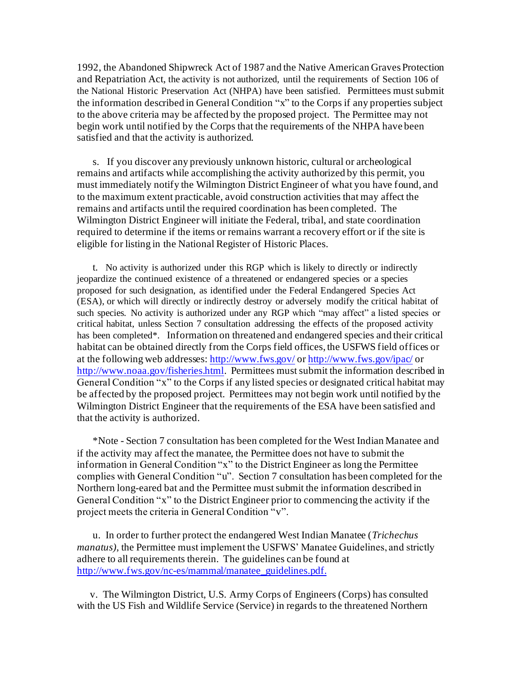1992, the Abandoned Shipwreck Act of 1987 and the Native American Graves Protection and Repatriation Act, the activity is not authorized, until the requirements of Section 106 of the National Historic Preservation Act (NHPA) have been satisfied. Permittees must submit the information described in General Condition "x" to the Corps if any properties subject to the above criteria may be affected by the proposed project. The Permittee may not begin work until notified by the Corps that the requirements of the NHPA have been satisfied and that the activity is authorized.

s. If you discover any previously unknown historic, cultural or archeological remains and artifacts while accomplishing the activity authorized by this permit, you must immediately notify the Wilmington District Engineer of what you have found, and to the maximum extent practicable, avoid construction activities that may affect the remains and artifacts until the required coordination has been completed. The Wilmington District Engineer will initiate the Federal, tribal, and state coordination required to determine if the items or remains warrant a recovery effort or if the site is eligible for listing in the National Register of Historic Places.

t. No activity is authorized under this RGP which is likely to directly or indirectly jeopardize the continued existence of a threatened or endangered species or a species proposed for such designation, as identified under the Federal Endangered Species Act (ESA), or which will directly or indirectly destroy or adversely modify the critical habitat of such species. No activity is authorized under any RGP which "may affect" a listed species or critical habitat, unless Section 7 consultation addressing the effects of the proposed activity has been completed\*. Information on threatened and endangered species and their critical habitat can be obtained directly from the Corps field offices, the USFWS field offices or at the following web addresses[: http://www.fws.gov/](http://www.fws.gov/) o[r http://www.fws.gov/ipac/](http://www.fws.gov/ipac/) or <http://www.noaa.gov/fisheries.html>. Permittees must submit the information described in General Condition "x" to the Corps if any listed species or designated critical habitat may be affected by the proposed project. Permittees may not begin work until notified by the Wilmington District Engineer that the requirements of the ESA have been satisfied and that the activity is authorized.

\*Note - Section 7 consultation has been completed for the West Indian Manatee and if the activity may affect the manatee, the Permittee does not have to submit the information in General Condition "x" to the District Engineer as long the Permittee complies with General Condition "u". Section 7 consultation has been completed for the Northern long-eared bat and the Permittee must submit the information described in General Condition "x" to the District Engineer prior to commencing the activity if the project meets the criteria in General Condition "v".

u. In order to further protect the endangered West Indian Manatee (*Trichechus manatus)*, the Permittee must implement the USFWS' Manatee Guidelines, and strictly adhere to all requirements therein. The guidelines can be found at [http://www.fws.gov/nc-es/mammal/manatee\\_guidelines.pdf](http://www.fws.gov/nc-es/mammal/manatee_guidelines.pdf).

 v. The Wilmington District, U.S. Army Corps of Engineers (Corps) has consulted with the US Fish and Wildlife Service (Service) in regards to the threatened Northern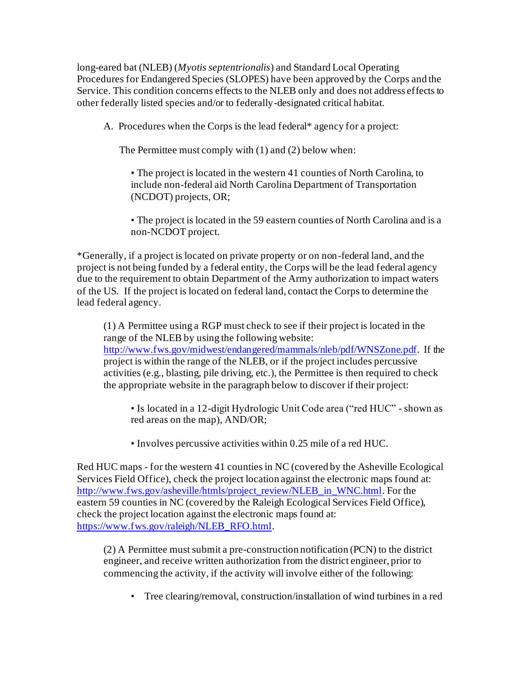long-eared bat (NLEB) (*Myotis septentrionalis*) and Standard Local Operating Procedures for Endangered Species (SLOPES) have been approved by the Corps and the Service. This condition concerns effects to the NLEB only and does not address effects to other federally listed species and/or to federally-designated critical habitat.

A. Procedures when the Corps is the lead federal\* agency for a project:

The Permittee must comply with (1) and (2) below when:

• The project is located in the western 41 counties of North Carolina, to include non-federal aid North Carolina Department of Transportation (NCDOT) projects, OR;

• The project is located in the 59 eastern counties of North Carolina and is a non-NCDOT project.

\*Generally, if a project is located on private property or on non-federal land, and the project is not being funded by a federal entity, the Corps will be the lead federal agency due to the requirement to obtain Department of the Army authorization to impact waters of the US. If the project is located on federal land, contact the Corps to determine the lead federal agency.

(1) A Permittee using a RGP must check to see if their project is located in the range of the NLEB by using the following website: <http://www.fws.gov/midwest/endangered/mammals/nleb/pdf/WNSZone.pdf>. If the project is within the range of the NLEB, or if the project includes percussive activities (e.g., blasting, pile driving, etc.), the Permittee is then required to check the appropriate website in the paragraph below to discover if their project:

• Is located in a 12-digit Hydrologic Unit Code area ("red HUC" - shown as red areas on the map), AND/OR;

• Involves percussive activities within 0.25 mile of a red HUC.

Red HUC maps - for the western 41 counties in NC (covered by the Asheville Ecological Services Field Office), check the project location against the electronic maps found at: [http://www.fws.gov/asheville/htmls/project\\_review/NLEB\\_in\\_WNC.html](http://www.fws.gov/asheville/htmls/project_review/NLEB_in_WNC.html). For the eastern 59 counties in NC (covered by the Raleigh Ecological Services Field Office), check the project location against the electronic maps found at: [https://www.fws.gov/raleigh/NLEB\\_RFO.html](https://www.fws.gov/raleigh/NLEB_RFO.html).

(2) A Permittee must submit a pre-construction notification (PCN) to the district engineer, and receive written authorization from the district engineer, prior to commencing the activity, if the activity will involve either of the following:

• Tree clearing/removal, construction/installation of wind turbines in a red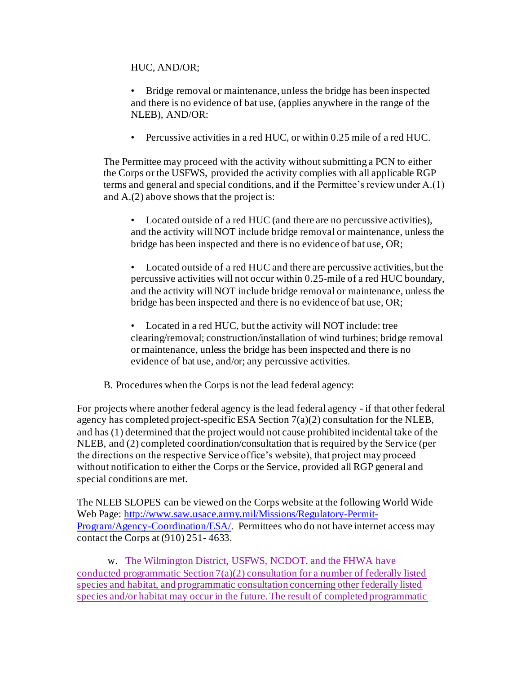HUC, AND/OR;

• Bridge removal or maintenance, unless the bridge has been inspected and there is no evidence of bat use, (applies anywhere in the range of the NLEB), AND/OR:

• Percussive activities in a red HUC, or within 0.25 mile of a red HUC.

The Permittee may proceed with the activity without submitting a PCN to either the Corps or the USFWS, provided the activity complies with all applicable RGP terms and general and special conditions, and if the Permittee's review under A.(1) and A.(2) above shows that the project is:

• Located outside of a red HUC (and there are no percussive activities), and the activity will NOT include bridge removal or maintenance, unless the bridge has been inspected and there is no evidence of bat use, OR;

• Located outside of a red HUC and there are percussive activities, but the percussive activities will not occur within 0.25-mile of a red HUC boundary, and the activity will NOT include bridge removal or maintenance, unless the bridge has been inspected and there is no evidence of bat use, OR;

Located in a red HUC, but the activity will NOT include: tree clearing/removal; construction/installation of wind turbines; bridge removal or maintenance, unless the bridge has been inspected and there is no evidence of bat use, and/or; any percussive activities.

B. Procedures when the Corps is not the lead federal agency:

For projects where another federal agency is the lead federal agency - if that other federal agency has completed project-specific ESA Section 7(a)(2) consultation for the NLEB, and has (1) determined that the project would not cause prohibited incidental take of the NLEB, and (2) completed coordination/consultation that is required by the Service (per the directions on the respective Service office's website), that project may proceed without notification to either the Corps or the Service, provided all RGP general and special conditions are met.

The NLEB SLOPES can be viewed on the Corps website at the following World Wide Web Page: [http://www.saw.usace.army.mil/Missions/Regulatory-Permit-](http://www.saw.usace.army.mil/Missions/Regulatory-Permit-Program/Agency-Coordination/ESA/)[Program/Agency-Coordination/ESA/](http://www.saw.usace.army.mil/Missions/Regulatory-Permit-Program/Agency-Coordination/ESA/). Permittees who do not have internet access may contact the Corps at (910) 251- 4633.

w. The Wilmington District, USFWS, NCDOT, and the FHWA have conducted programmatic Section 7(a)(2) consultation for a number of federally listed species and habitat, and programmatic consultation concerning other federally listed species and/or habitat may occur in the future. The result of completed programmatic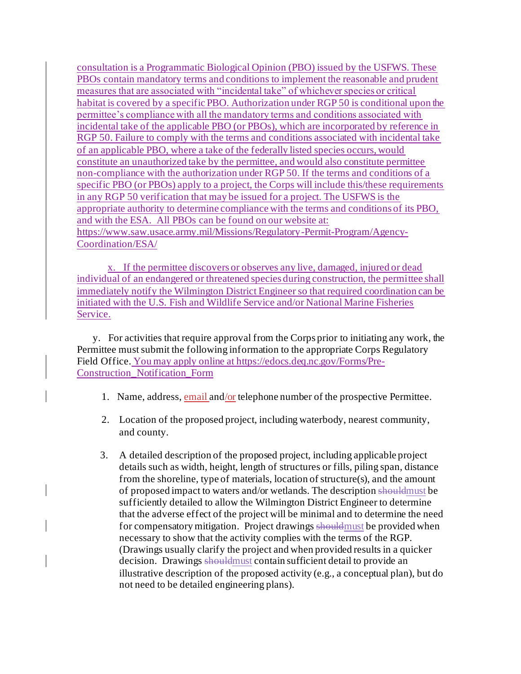consultation is a Programmatic Biological Opinion (PBO) issued by the USFWS. These PBOs contain mandatory terms and conditions to implement the reasonable and prudent measures that are associated with "incidental take" of whichever species or critical habitat is covered by a specific PBO. Authorization under RGP 50 is conditional upon the permittee's compliance with all the mandatory terms and conditions associated with incidental take of the applicable PBO (or PBOs), which are incorporated by reference in RGP 50. Failure to comply with the terms and conditions associated with incidental take of an applicable PBO, where a take of the federally listed species occurs, would constitute an unauthorized take by the permittee, and would also constitute permittee non-compliance with the authorization under RGP 50. If the terms and conditions of a specific PBO (or PBOs) apply to a project, the Corps will include this/these requirements in any RGP 50 verification that may be issued for a project. The USFWS is the appropriate authority to determine compliance with the terms and conditions of its PBO, and with the ESA. All PBOs can be found on our website at: [https://www.saw.usace.army.mil/Missions/Regulatory-Permit-Program/Agency-](https://www.saw.usace.army.mil/Missions/Regulatory-Permit-Program/Agency-Coordination/ESA/)[Coordination/ESA/](https://www.saw.usace.army.mil/Missions/Regulatory-Permit-Program/Agency-Coordination/ESA/)

x. If the permittee discovers or observes any live, damaged, injured or dead individual of an endangered or threatened species during construction, the permittee shall immediately notify the Wilmington District Engineer so that required coordination can be initiated with the U.S. Fish and Wildlife Service and/or National Marine Fisheries Service.

y. For activities that require approval from the Corps prior to initiating any work, the Permittee must submit the following information to the appropriate Corps Regulatory Field Office. You may apply online a[t https://edocs.deq.nc.gov/Forms/Pre-](https://edocs.deq.nc.gov/Forms/Pre-Construction_Notification_Form)[Construction\\_Notification\\_Form](https://edocs.deq.nc.gov/Forms/Pre-Construction_Notification_Form)

- 1. Name, address, email and/or telephone number of the prospective Permittee.
- 2. Location of the proposed project, including waterbody, nearest community, and county.
- 3. A detailed description of the proposed project, including applicable project details such as width, height, length of structures or fills, piling span, distance from the shoreline, type of materials, location of structure(s), and the amount of proposed impact to waters and/or wetlands. The description shouldmust be sufficiently detailed to allow the Wilmington District Engineer to determine that the adverse effect of the project will be minimal and to determine the need for compensatory mitigation. Project drawings shouldmust be provided when necessary to show that the activity complies with the terms of the RGP. (Drawings usually clarify the project and when provided results in a quicker decision. Drawings should must contain sufficient detail to provide an illustrative description of the proposed activity (e.g., a conceptual plan), but do not need to be detailed engineering plans).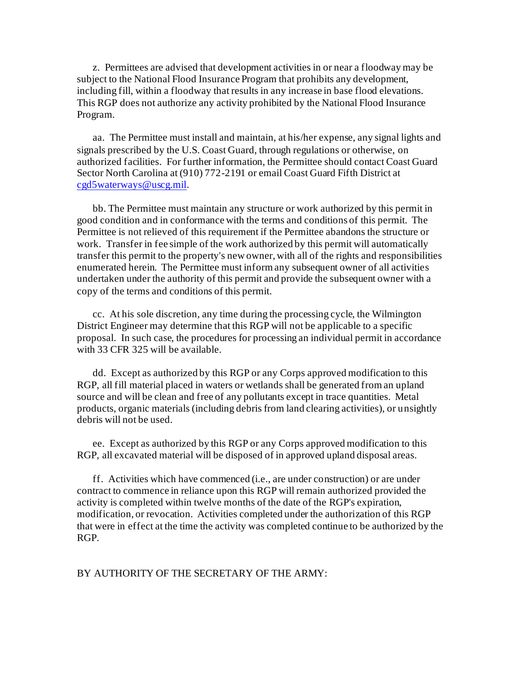z. Permittees are advised that development activities in or near a floodway may be subject to the National Flood Insurance Program that prohibits any development, including fill, within a floodway that results in any increase in base flood elevations. This RGP does not authorize any activity prohibited by the National Flood Insurance Program.

aa. The Permittee must install and maintain, at his/her expense, any signal lights and signals prescribed by the U.S. Coast Guard, through regulations or otherwise, on authorized facilities. For further information, the Permittee should contact Coast Guard Sector North Carolina at (910) 772-2191 or email Coast Guard Fifth District at [cgd5waterways@uscg.mil](mailto:cgd5waterways@uscg.mil).

bb. The Permittee must maintain any structure or work authorized by this permit in good condition and in conformance with the terms and conditions of this permit. The Permittee is not relieved of this requirement if the Permittee abandons the structure or work. Transfer in fee simple of the work authorized by this permit will automatically transfer this permit to the property's new owner, with all of the rights and responsibilities enumerated herein. The Permittee must inform any subsequent owner of all activities undertaken under the authority of this permit and provide the subsequent owner with a copy of the terms and conditions of this permit.

cc. At his sole discretion, any time during the processing cycle, the Wilmington District Engineer may determine that this RGP will not be applicable to a specific proposal. In such case, the procedures for processing an individual permit in accordance with 33 CFR 325 will be available.

dd. Except as authorized by this RGP or any Corps approved modification to this RGP, all fill material placed in waters or wetlands shall be generated from an upland source and will be clean and free of any pollutants except in trace quantities. Metal products, organic materials (including debris from land clearing activities), or unsightly debris will not be used.

ee. Except as authorized by this RGP or any Corps approved modification to this RGP, all excavated material will be disposed of in approved upland disposal areas.

ff. Activities which have commenced (i.e., are under construction) or are under contract to commence in reliance upon this RGP will remain authorized provided the activity is completed within twelve months of the date of the RGP's expiration, modification, or revocation. Activities completed under the authorization of this RGP that were in effect at the time the activity was completed continue to be authorized by the RGP.

BY AUTHORITY OF THE SECRETARY OF THE ARMY: